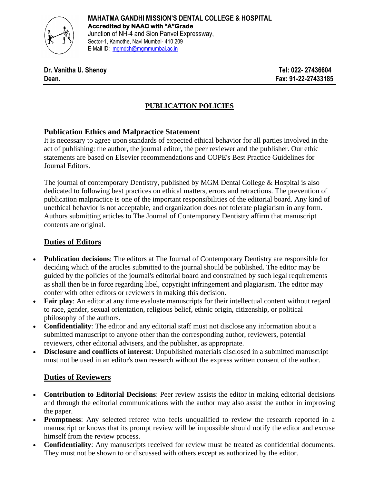

**Dr. Vanitha U. Shenoy Tel: 022- 27436604 Dean. Fax: 91-22-27433185**

# **PUBLICATION POLICIES**

### **Publication Ethics and Malpractice Statement**

It is necessary to agree upon standards of expected ethical behavior for all parties involved in the act of publishing: the author, the journal editor, the peer reviewer and the publisher. Our ethic statements are based on Elsevier recommendations and [COPE's Best Practice Guidelines](http://publicationethics.org/files/u2/New_Code.pdf) for Journal Editors.

The journal of contemporary Dentistry, published by MGM Dental College & Hospital is also dedicated to following best practices on ethical matters, errors and retractions. The prevention of publication malpractice is one of the important responsibilities of the editorial board. Any kind of unethical behavior is not acceptable, and organization does not tolerate plagiarism in any form. Authors submitting articles to The Journal of Contemporary Dentistry affirm that manuscript contents are original.

### **Duties of Editors**

- **Publication decisions**: The editors at The Journal of Contemporary Dentistry are responsible for deciding which of the articles submitted to the journal should be published. The editor may be guided by the policies of the journal's editorial board and constrained by such legal requirements as shall then be in force regarding libel, copyright infringement and plagiarism. The editor may confer with other editors or reviewers in making this decision.
- **Fair play**: An editor at any time evaluate manuscripts for their intellectual content without regard to race, gender, sexual orientation, religious belief, ethnic origin, citizenship, or political philosophy of the authors.
- **Confidentiality**: The editor and any editorial staff must not disclose any information about a submitted manuscript to anyone other than the corresponding author, reviewers, potential reviewers, other editorial advisers, and the publisher, as appropriate.
- **Disclosure and conflicts of interest**: Unpublished materials disclosed in a submitted manuscript must not be used in an editor's own research without the express written consent of the author.

#### **Duties of Reviewers**

- **Contribution to Editorial Decisions**: Peer review assists the editor in making editorial decisions and through the editorial communications with the author may also assist the author in improving the paper.
- **Promptness**: Any selected referee who feels unqualified to review the research reported in a manuscript or knows that its prompt review will be impossible should notify the editor and excuse himself from the review process.
- **Confidentiality**: Any manuscripts received for review must be treated as confidential documents. They must not be shown to or discussed with others except as authorized by the editor.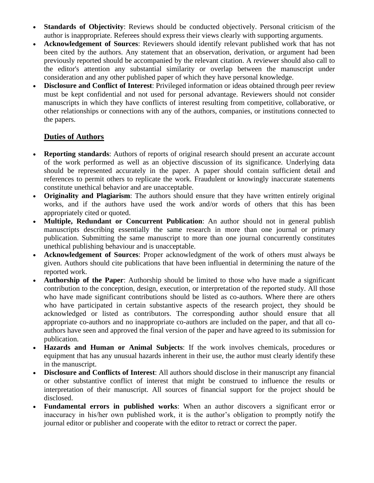- **Standards of Objectivity:** Reviews should be conducted objectively. Personal criticism of the author is inappropriate. Referees should express their views clearly with supporting arguments.
- **Acknowledgement of Sources**: Reviewers should identify relevant published work that has not been cited by the authors. Any statement that an observation, derivation, or argument had been previously reported should be accompanied by the relevant citation. A reviewer should also call to the editor's attention any substantial similarity or overlap between the manuscript under consideration and any other published paper of which they have personal knowledge.
- **Disclosure and Conflict of Interest**: Privileged information or ideas obtained through peer review must be kept confidential and not used for personal advantage. Reviewers should not consider manuscripts in which they have conflicts of interest resulting from competitive, collaborative, or other relationships or connections with any of the authors, companies, or institutions connected to the papers.

### **Duties of Authors**

- **Reporting standards**: Authors of reports of original research should present an accurate account of the work performed as well as an objective discussion of its significance. Underlying data should be represented accurately in the paper. A paper should contain sufficient detail and references to permit others to replicate the work. Fraudulent or knowingly inaccurate statements constitute unethical behavior and are unacceptable.
- **Originality and Plagiarism**: The authors should ensure that they have written entirely original works, and if the authors have used the work and/or words of others that this has been appropriately cited or quoted.
- **Multiple, Redundant or Concurrent Publication**: An author should not in general publish manuscripts describing essentially the same research in more than one journal or primary publication. Submitting the same manuscript to more than one journal concurrently constitutes unethical publishing behaviour and is unacceptable.
- **Acknowledgement of Sources**: Proper acknowledgment of the work of others must always be given. Authors should cite publications that have been influential in determining the nature of the reported work.
- **Authorship of the Paper**: Authorship should be limited to those who have made a significant contribution to the conception, design, execution, or interpretation of the reported study. All those who have made significant contributions should be listed as co-authors. Where there are others who have participated in certain substantive aspects of the research project, they should be acknowledged or listed as contributors. The corresponding author should ensure that all appropriate co-authors and no inappropriate co-authors are included on the paper, and that all coauthors have seen and approved the final version of the paper and have agreed to its submission for publication.
- **Hazards and Human or Animal Subjects**: If the work involves chemicals, procedures or equipment that has any unusual hazards inherent in their use, the author must clearly identify these in the manuscript.
- **Disclosure and Conflicts of Interest**: All authors should disclose in their manuscript any financial or other substantive conflict of interest that might be construed to influence the results or interpretation of their manuscript. All sources of financial support for the project should be disclosed.
- **Fundamental errors in published works**: When an author discovers a significant error or inaccuracy in his/her own published work, it is the author's obligation to promptly notify the journal editor or publisher and cooperate with the editor to retract or correct the paper.